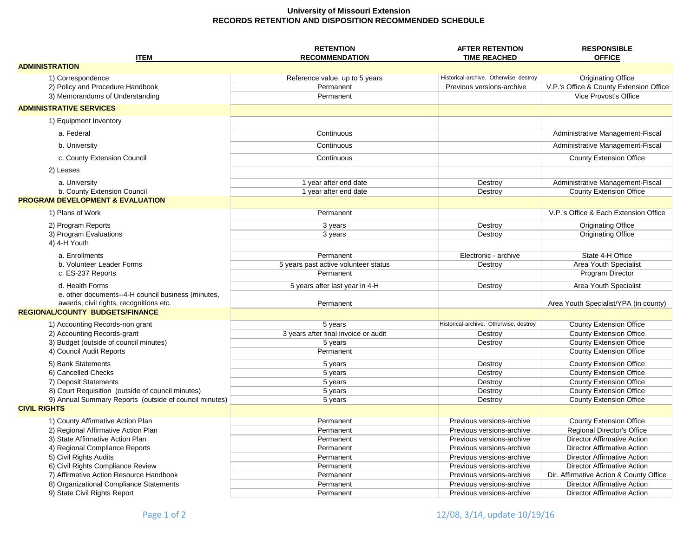## **University of Missouri Extension RECORDS RETENTION AND DISPOSITION RECOMMENDED SCHEDULE**

| <b>ITEM</b>                                                                       | <b>RETENTION</b><br><b>RECOMMENDATION</b> | <b>AFTER RETENTION</b><br><b>TIME REACHED</b>          | <b>RESPONSIBLE</b><br><b>OFFICE</b>                                           |
|-----------------------------------------------------------------------------------|-------------------------------------------|--------------------------------------------------------|-------------------------------------------------------------------------------|
| <b>ADMINISTRATION</b>                                                             |                                           |                                                        |                                                                               |
| 1) Correspondence                                                                 | Reference value, up to 5 years            | Historical-archive. Otherwise, destroy                 | <b>Originating Office</b>                                                     |
| 2) Policy and Procedure Handbook                                                  | Permanent                                 | Previous versions-archive                              | V.P.'s Office & County Extension Office                                       |
| 3) Memorandums of Understanding                                                   | Permanent                                 |                                                        | Vice Provost's Office                                                         |
| <b>ADMINISTRATIVE SERVICES</b>                                                    |                                           |                                                        |                                                                               |
|                                                                                   |                                           |                                                        |                                                                               |
| 1) Equipment Inventory                                                            |                                           |                                                        |                                                                               |
| a. Federal                                                                        | Continuous                                |                                                        | Administrative Management-Fiscal                                              |
| b. University                                                                     | Continuous                                |                                                        | Administrative Management-Fiscal                                              |
| c. County Extension Council                                                       | Continuous                                |                                                        | <b>County Extension Office</b>                                                |
| 2) Leases                                                                         |                                           |                                                        |                                                                               |
| a. University                                                                     | 1 year after end date                     | Destroy                                                | Administrative Management-Fiscal                                              |
| b. County Extension Council                                                       | 1 year after end date                     | Destroy                                                | <b>County Extension Office</b>                                                |
| <b>PROGRAM DEVELOPMENT &amp; EVALUATION</b>                                       |                                           |                                                        |                                                                               |
| 1) Plans of Work                                                                  | Permanent                                 |                                                        | V.P.'s Office & Each Extension Office                                         |
|                                                                                   |                                           |                                                        |                                                                               |
| 2) Program Reports                                                                | 3 years                                   | Destroy                                                | <b>Originating Office</b>                                                     |
| 3) Program Evaluations<br>4) 4-H Youth                                            | 3 years                                   | Destroy                                                | <b>Originating Office</b>                                                     |
|                                                                                   |                                           |                                                        |                                                                               |
| a. Enrollments                                                                    | Permanent                                 | Electronic - archive                                   | State 4-H Office                                                              |
| b. Volunteer Leader Forms                                                         | 5 years past active volunteer status      | Destroy                                                | Area Youth Specialist                                                         |
| c. ES-237 Reports                                                                 | Permanent                                 |                                                        | Program Director                                                              |
| d. Health Forms                                                                   | 5 years after last year in 4-H            | Destroy                                                | Area Youth Specialist                                                         |
| e. other documents--4-H council business (minutes,                                |                                           |                                                        |                                                                               |
| awards, civil rights, recognitions etc.<br><b>REGIONAL/COUNTY BUDGETS/FINANCE</b> | Permanent                                 |                                                        | Area Youth Specialist/YPA (in county)                                         |
|                                                                                   |                                           |                                                        |                                                                               |
| 1) Accounting Records-non grant                                                   | 5 years                                   | Historical-archive. Otherwise, destroy                 | County Extension Office                                                       |
| 2) Accounting Records-grant                                                       | 3 years after final invoice or audit      | Destroy                                                | <b>County Extension Office</b>                                                |
| 3) Budget (outside of council minutes)                                            | 5 years                                   | Destroy                                                | <b>County Extension Office</b>                                                |
| 4) Council Audit Reports                                                          | Permanent                                 |                                                        | <b>County Extension Office</b>                                                |
| 5) Bank Statements                                                                | 5 years                                   | Destroy                                                | <b>County Extension Office</b>                                                |
| 6) Cancelled Checks                                                               | 5 years                                   | Destroy                                                | <b>County Extension Office</b>                                                |
| 7) Deposit Statements                                                             | 5 years                                   | Destroy                                                | <b>County Extension Office</b>                                                |
| 8) Court Requisition (outside of council minutes)                                 | 5 years                                   | Destroy                                                | <b>County Extension Office</b>                                                |
| 9) Annual Summary Reports (outside of council minutes)<br><b>CIVIL RIGHTS</b>     | 5 years                                   | Destroy                                                | <b>County Extension Office</b>                                                |
|                                                                                   |                                           |                                                        |                                                                               |
| 1) County Affirmative Action Plan                                                 | Permanent                                 | Previous versions-archive                              | <b>County Extension Office</b>                                                |
| 2) Regional Affirmative Action Plan                                               | Permanent                                 | Previous versions-archive                              | Regional Director's Office                                                    |
| 3) State Affirmative Action Plan                                                  | Permanent                                 | Previous versions-archive                              | <b>Director Affirmative Action</b>                                            |
| 4) Regional Compliance Reports                                                    | Permanent                                 | Previous versions-archive                              | <b>Director Affirmative Action</b>                                            |
| 5) Civil Rights Audits                                                            | Permanent                                 | Previous versions-archive                              | <b>Director Affirmative Action</b>                                            |
| 6) Civil Rights Compliance Review<br>7) Affirmative Action Resource Handbook      | Permanent<br>Permanent                    | Previous versions-archive<br>Previous versions-archive | <b>Director Affirmative Action</b><br>Dir. Affirmative Action & County Office |
| 8) Organizational Compliance Statements                                           | Permanent                                 | Previous versions-archive                              | <b>Director Affirmative Action</b>                                            |
| 9) State Civil Rights Report                                                      | Permanent                                 | Previous versions-archive                              | <b>Director Affirmative Action</b>                                            |
|                                                                                   |                                           |                                                        |                                                                               |

Page 1 of 2 12/08, 3/14, update 10/19/16